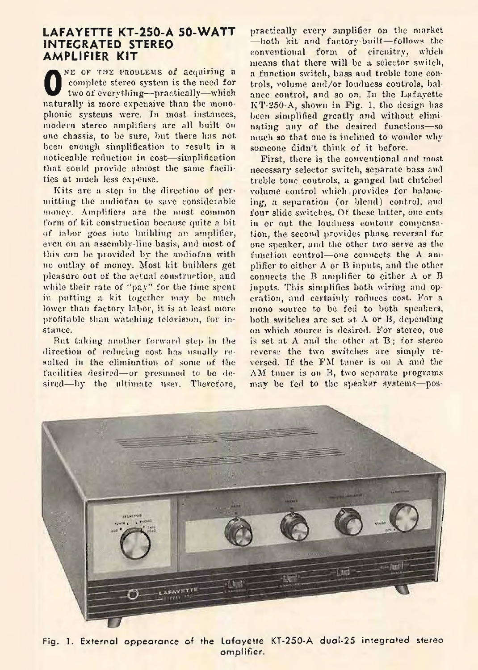## **LAFAYETTE KT-250-A 50-WATT INTEGRATED STEREO AMPLIFIER KIT**

**O** NE OF THE PROBLEMS of acquiring a complete stereo system is the need for two of everything—practically—which naturally is more expensive than the monophonic systems were. In most instances, modern stereo amplifiers are all built on one chassis, to be sure, but there has not been enough simplification to result in a noticeable reduction in cost— simplification that could provide almost the same facilities at much less expense.

Kits are a step in the direction of permitting the audiofan to save considerable money. Amplifiers are the most common form of kit construction because quite a bit of labor goes into building an amplifier, even on an assembly-line basis, and most of this can be provided by the audiofau with no outlay of money. Most kit builders get pleasure out of the actual construction, and while their rate of "pay" for the time spent in putting a kit together may be much lower than factory labor, it is at. least more profitable than watching television, for instance.

But taking another forward step in the direction of reducing cost has usually resulted in the elimination of some of the facilities desired— or presumed to be desired—by the ultimate user. Therefore, practically every amplifier on the market — both kit and factory-built— follows the conventional form of circuitry, which means that there will be a selector switch, a function switch, bass and treble tone controls, volume and/or loudness controls, balance control, and so on. In the Lafayette KT-250-A, shown in Fig. 1, the design has been simplified greatly and without eliminating any of the desired functions-—so much so that one is inclined to wonder why someone didn't think of it before.

First, there is the conventional and most necessary selector switch, separate bass and treble tone controls, a ganged but clutched volume control which provides for balancing, a separation (or blend) control, and four slide switches. Of these latter, one cuts in or out the loudness contour compensation, the second provides phase reversal for one speaker, and the other two serve as the function control—one connects the A amplifier to either  $\Lambda$  or  $B$  inputs, and the other connects the B amplifier to either  $\Lambda$  or B inputs. This simplifies both wiring and operation, and certainly reduces cost. For a mono source to be fed to both speakers, both switches are set at A or B, depending on which source is desired. For stereo, one is set at  $A$  and the other at  $B$ ; for stereo reverse the two switches are simply reversed. Tf the FM tuner is on A and the AM tuner is on B, two separate programs may be fed to the speaker systems— pos-



Fig. 1. External appearance of the Lafayette KT-250-A dual-25 integrated stereo amplifier.